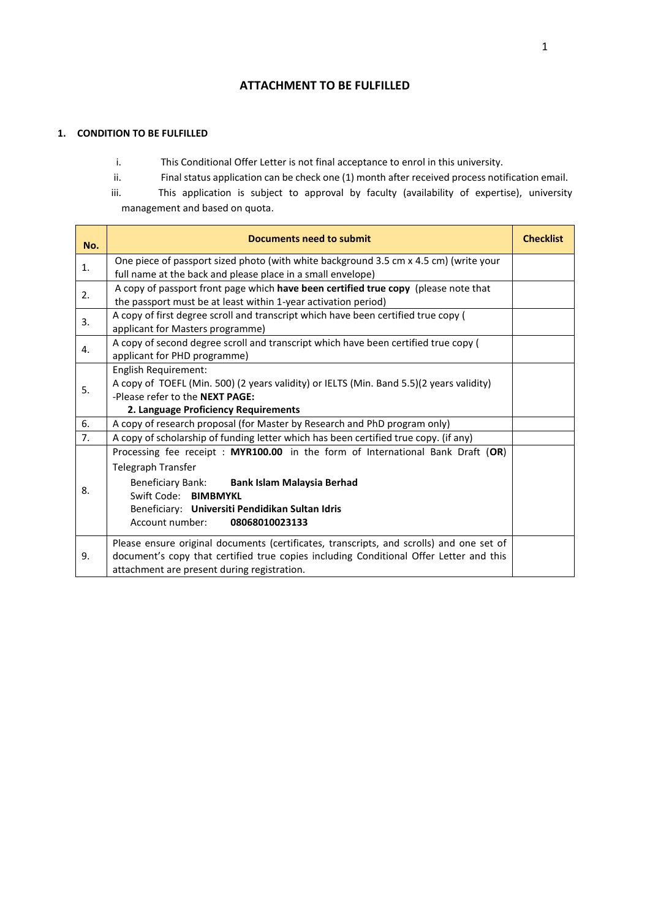# **ATTACHMENT TO BE FULFILLED**

# **1. CONDITION TO BE FULFILLED**

- i. This Conditional Offer Letter is not final acceptance to enrol in this university.
- ii. Final status application can be check one (1) month after received process notification email.
- iii. This application is subject to approval by faculty (availability of expertise), university management and based on quota.

| No.            | Documents need to submit                                                                                                                                                                                                                                             | <b>Checklist</b> |
|----------------|----------------------------------------------------------------------------------------------------------------------------------------------------------------------------------------------------------------------------------------------------------------------|------------------|
| $\mathbf{1}$ . | One piece of passport sized photo (with white background 3.5 cm x 4.5 cm) (write your<br>full name at the back and please place in a small envelope)                                                                                                                 |                  |
| 2.             | A copy of passport front page which have been certified true copy (please note that<br>the passport must be at least within 1-year activation period)                                                                                                                |                  |
| 3.             | A copy of first degree scroll and transcript which have been certified true copy (<br>applicant for Masters programme)                                                                                                                                               |                  |
| 4.             | A copy of second degree scroll and transcript which have been certified true copy (<br>applicant for PHD programme)                                                                                                                                                  |                  |
| 5.             | English Requirement:<br>A copy of TOEFL (Min. 500) (2 years validity) or IELTS (Min. Band 5.5)(2 years validity)<br>-Please refer to the NEXT PAGE:<br>2. Language Proficiency Requirements                                                                          |                  |
| 6.             | A copy of research proposal (for Master by Research and PhD program only)                                                                                                                                                                                            |                  |
| 7 <sub>1</sub> | A copy of scholarship of funding letter which has been certified true copy. (if any)                                                                                                                                                                                 |                  |
| 8.             | Processing fee receipt: MYR100.00 in the form of International Bank Draft (OR)<br>Telegraph Transfer<br>Beneficiary Bank: Bank Islam Malaysia Berhad<br>Swift Code: BIMBMYKL<br>Beneficiary: Universiti Pendidikan Sultan Idris<br>Account number:<br>08068010023133 |                  |
| 9.             | Please ensure original documents (certificates, transcripts, and scrolls) and one set of<br>document's copy that certified true copies including Conditional Offer Letter and this<br>attachment are present during registration.                                    |                  |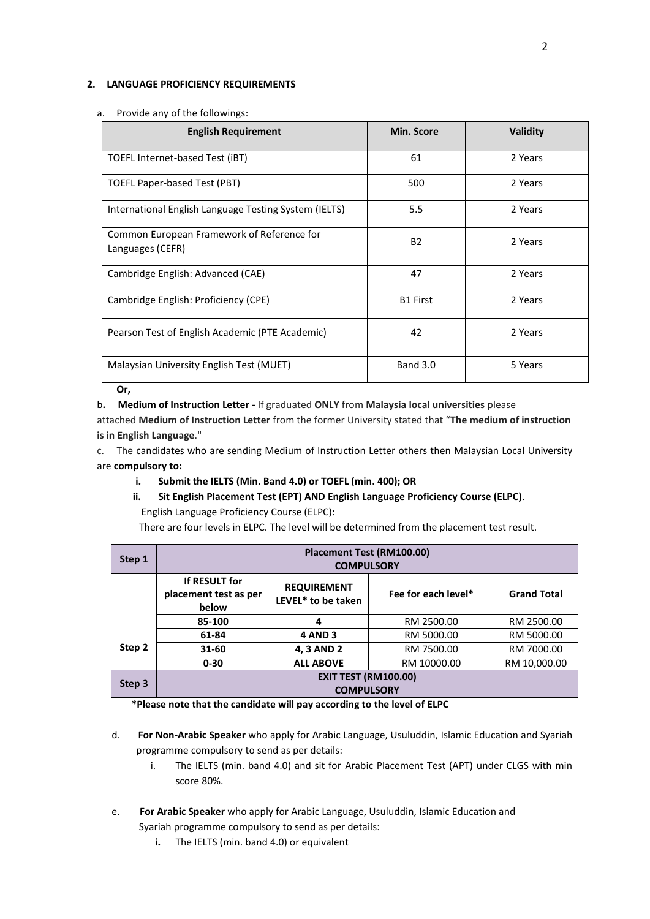#### **2. LANGUAGE PROFICIENCY REQUIREMENTS**

| <b>English Requirement</b>                                     | Min. Score      | <b>Validity</b> |
|----------------------------------------------------------------|-----------------|-----------------|
| TOEFL Internet-based Test (iBT)                                | 61              | 2 Years         |
| TOEFL Paper-based Test (PBT)                                   | 500             | 2 Years         |
| International English Language Testing System (IELTS)          | 5.5             | 2 Years         |
| Common European Framework of Reference for<br>Languages (CEFR) | <b>B2</b>       | 2 Years         |
| Cambridge English: Advanced (CAE)                              | 47              | 2 Years         |
| Cambridge English: Proficiency (CPE)                           | <b>B1 First</b> | 2 Years         |
| Pearson Test of English Academic (PTE Academic)                | 42              | 2 Years         |
| Malaysian University English Test (MUET)                       | <b>Band 3.0</b> | 5 Years         |

#### a. Provide any of the followings:

**Or,** 

#### b**. Medium of Instruction Letter -** If graduated **ONLY** from **Malaysia local universities** please

attached **Medium of Instruction Letter** from the former University stated that "**The medium of instruction is in English Language**."

c. The candidates who are sending Medium of Instruction Letter others then Malaysian Local University are **compulsory to:**

- **i. Submit the IELTS (Min. Band 4.0) or TOEFL (min. 400); OR**
- **ii. Sit English Placement Test (EPT) AND English Language Proficiency Course (ELPC)**. English Language Proficiency Course (ELPC):

There are four levels in ELPC. The level will be determined from the placement test result.

| Step 1 | Placement Test (RM100.00)<br><b>COMPULSORY</b>   |                                          |                     |                    |
|--------|--------------------------------------------------|------------------------------------------|---------------------|--------------------|
|        | If RESULT for<br>placement test as per<br>below  | <b>REQUIREMENT</b><br>LEVEL* to be taken | Fee for each level* | <b>Grand Total</b> |
|        | 85-100                                           | 4                                        | RM 2500.00          | RM 2500.00         |
|        | 61-84                                            | <b>4 AND 3</b>                           | RM 5000.00          | RM 5000.00         |
| Step 2 | 31-60                                            | 4, 3 AND 2                               | RM 7500.00          | RM 7000.00         |
|        | $0 - 30$                                         | <b>ALL ABOVE</b>                         | RM 10000.00         | RM 10,000.00       |
| Step 3 | <b>EXIT TEST (RM100.00)</b><br><b>COMPULSORY</b> |                                          |                     |                    |

**\*Please note that the candidate will pay according to the level of ELPC**

- d. **For Non-Arabic Speaker** who apply for Arabic Language, Usuluddin, Islamic Education and Syariah programme compulsory to send as per details:
	- i. The IELTS (min. band 4.0) and sit for Arabic Placement Test (APT) under CLGS with min score 80%.
- e. **For Arabic Speaker** who apply for Arabic Language, Usuluddin, Islamic Education and Syariah programme compulsory to send as per details:
	- **i.** The IELTS (min. band 4.0) or equivalent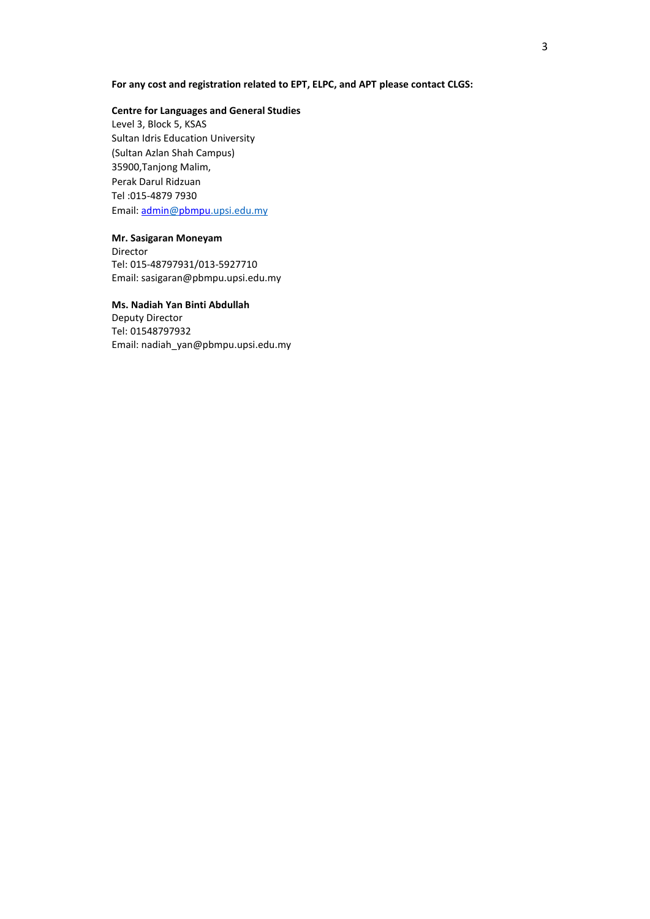# **For any cost and registration related to EPT, ELPC, and APT please contact CLGS:**

### **Centre for Languages and General Studies**

Level 3, Block 5, KSAS Sultan Idris Education University (Sultan Azlan Shah Campus) 35900,Tanjong Malim, Perak Darul Ridzuan Tel :015-4879 7930 Email[: admin@pbmpu.upsi.edu.my](mailto:admin@pbmpu.upsi.edu.my)

### **Mr. Sasigaran Moneyam**

Director Tel: 015-48797931/013-5927710 Email[: sasigaran@pbmpu.upsi.edu.my](mailto:sasigaran@pbmpu.upsi.edu.my)

# **Ms. Nadiah Yan Binti Abdullah**

Deputy Director Tel[: 01548797932](mailto:sasigaran@pbmpu.upsi.edu.my) Email: nadiah\_yan@pbmpu.upsi.edu.my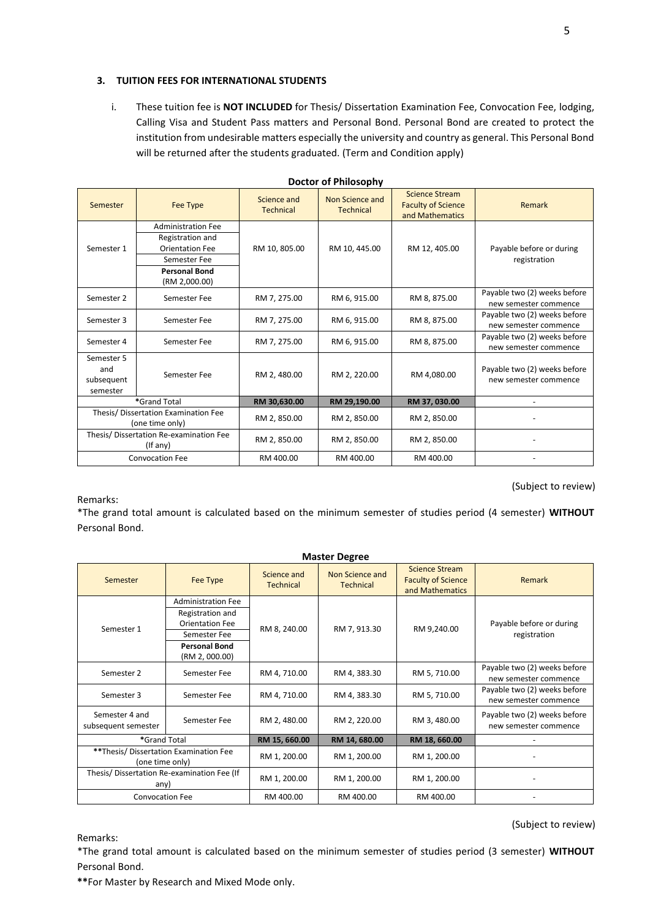# **3. TUITION FEES FOR INTERNATIONAL STUDENTS**

i. These tuition fee is **NOT INCLUDED** for Thesis/ Dissertation Examination Fee, Convocation Fee, lodging, Calling Visa and Student Pass matters and Personal Bond. Personal Bond are created to protect the institution from undesirable matters especially the university and country as general. This Personal Bond will be returned after the students graduated. (Term and Condition apply)

| Semester                                                | Fee Type                              | Science and<br><b>Technical</b> | Non Science and<br><b>Technical</b> | <b>Science Stream</b><br><b>Faculty of Science</b><br>and Mathematics | Remark                                                |
|---------------------------------------------------------|---------------------------------------|---------------------------------|-------------------------------------|-----------------------------------------------------------------------|-------------------------------------------------------|
|                                                         | <b>Administration Fee</b>             |                                 |                                     |                                                                       |                                                       |
|                                                         | Registration and                      |                                 |                                     |                                                                       |                                                       |
| Semester 1                                              | <b>Orientation Fee</b>                | RM 10, 805.00                   | RM 10, 445.00                       | RM 12, 405.00                                                         | Payable before or during                              |
|                                                         | Semester Fee                          |                                 |                                     |                                                                       | registration                                          |
|                                                         | <b>Personal Bond</b><br>(RM 2,000.00) |                                 |                                     |                                                                       |                                                       |
| Semester 2                                              | Semester Fee                          | RM 7, 275.00                    | RM 6, 915.00                        | RM 8, 875.00                                                          | Payable two (2) weeks before<br>new semester commence |
| Semester 3                                              | Semester Fee                          | RM 7, 275.00                    | RM 6, 915.00                        | RM 8, 875.00                                                          | Payable two (2) weeks before<br>new semester commence |
| Semester 4                                              | Semester Fee                          | RM 7, 275.00                    | RM 6, 915.00                        | RM 8, 875.00                                                          | Payable two (2) weeks before<br>new semester commence |
| Semester 5<br>and<br>subsequent<br>semester             | Semester Fee                          | RM 2, 480.00                    | RM 2, 220.00                        | RM 4,080.00                                                           | Payable two (2) weeks before<br>new semester commence |
| *Grand Total                                            |                                       | RM 30,630.00                    | RM 29,190.00                        | RM 37, 030.00                                                         | -                                                     |
| Thesis/ Dissertation Examination Fee<br>(one time only) |                                       | RM 2, 850.00                    | RM 2, 850.00                        | RM 2, 850.00                                                          |                                                       |
| Thesis/Dissertation Re-examination Fee<br>(If any)      |                                       | RM 2, 850.00                    | RM 2, 850.00                        | RM 2, 850.00                                                          |                                                       |
| <b>Convocation Fee</b>                                  |                                       | RM 400.00                       | RM 400.00                           | RM 400.00                                                             |                                                       |

**Doctor of Philosophy**

(Subject to review)

# Remarks:

\*The grand total amount is calculated based on the minimum semester of studies period (4 semester) **WITHOUT** Personal Bond.

| <b>Master Degree</b>                       |                           |                                 |                                     |                                                                       |                                          |
|--------------------------------------------|---------------------------|---------------------------------|-------------------------------------|-----------------------------------------------------------------------|------------------------------------------|
| Semester                                   | Fee Type                  | Science and<br><b>Technical</b> | Non Science and<br><b>Technical</b> | <b>Science Stream</b><br><b>Faculty of Science</b><br>and Mathematics | Remark                                   |
|                                            | <b>Administration Fee</b> | RM 8, 240.00                    | RM 7, 913.30                        | RM 9,240.00                                                           | Payable before or during<br>registration |
|                                            | Registration and          |                                 |                                     |                                                                       |                                          |
| Semester 1                                 | <b>Orientation Fee</b>    |                                 |                                     |                                                                       |                                          |
|                                            | Semester Fee              |                                 |                                     |                                                                       |                                          |
|                                            | <b>Personal Bond</b>      |                                 |                                     |                                                                       |                                          |
|                                            | (RM 2, 000.00)            |                                 |                                     |                                                                       |                                          |
| Semester 2                                 | Semester Fee              | RM 4, 710.00                    | RM 4, 383.30                        | RM 5, 710.00                                                          | Payable two (2) weeks before             |
|                                            |                           |                                 |                                     |                                                                       | new semester commence                    |
| Semester 3                                 | Semester Fee              | RM 4, 710.00                    | RM 4, 383.30                        | RM 5, 710.00                                                          | Payable two (2) weeks before             |
|                                            |                           |                                 |                                     |                                                                       | new semester commence                    |
| Semester 4 and                             | Semester Fee              | RM 2, 480.00                    | RM 2, 220.00                        | RM 3, 480.00                                                          | Payable two (2) weeks before             |
| subsequent semester                        |                           |                                 |                                     |                                                                       | new semester commence                    |
| *Grand Total                               |                           | RM 15, 660.00                   | RM 14, 680.00                       | RM 18, 660.00                                                         |                                          |
| **Thesis/ Dissertation Examination Fee     |                           | RM 1, 200.00                    | RM 1, 200.00                        | RM 1, 200.00                                                          |                                          |
| (one time only)                            |                           |                                 |                                     |                                                                       |                                          |
| Thesis/Dissertation Re-examination Fee (If |                           | RM 1, 200.00                    | RM 1, 200.00                        | RM 1, 200.00                                                          |                                          |
| any)                                       |                           |                                 |                                     |                                                                       |                                          |
| <b>Convocation Fee</b>                     |                           | RM 400.00                       | RM 400.00                           | RM 400.00                                                             |                                          |

Remarks:

### (Subject to review)

\*The grand total amount is calculated based on the minimum semester of studies period (3 semester) **WITHOUT** Personal Bond.

**\*\***For Master by Research and Mixed Mode only.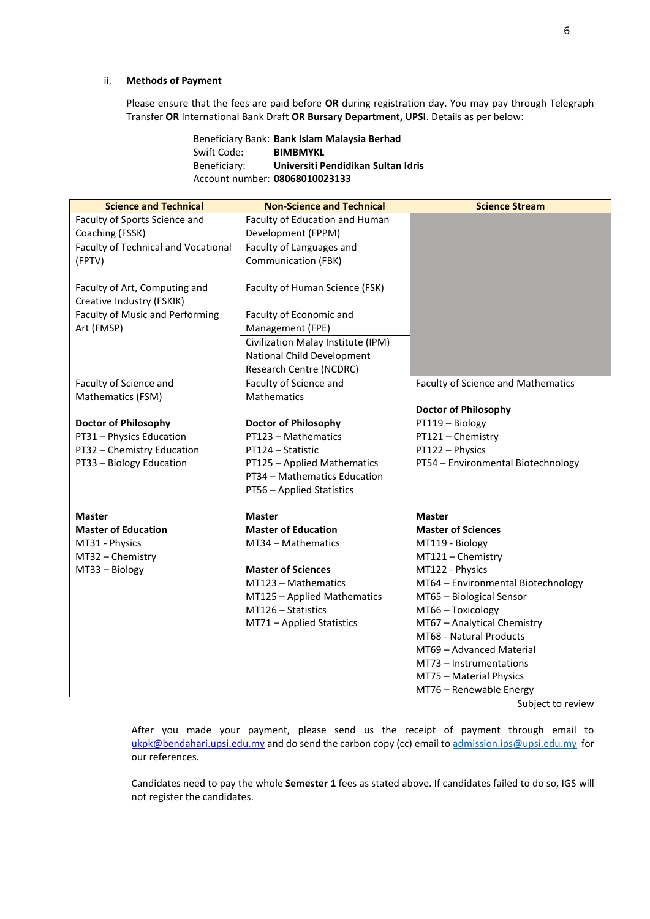### ii. **Methods of Payment**

Please ensure that the fees are paid before **OR** during registration day. You may pay through Telegraph Transfer **OR** International Bank Draft **OR Bursary Department, UPSI**. Details as per below:

> Beneficiary Bank: **Bank Islam Malaysia Berhad** Swift Code: **BIMBMYKL** Beneficiary: **Universiti Pendidikan Sultan Idris** Account number: **08068010023133**

| <b>Science and Technical</b>                               | <b>Non-Science and Technical</b>   | <b>Science Stream</b>                     |
|------------------------------------------------------------|------------------------------------|-------------------------------------------|
| Faculty of Sports Science and                              | Faculty of Education and Human     |                                           |
| Coaching (FSSK)                                            | Development (FPPM)                 |                                           |
| <b>Faculty of Technical and Vocational</b>                 | Faculty of Languages and           |                                           |
| (FPTV)                                                     | <b>Communication (FBK)</b>         |                                           |
|                                                            |                                    |                                           |
| Faculty of Art, Computing and<br>Creative Industry (FSKIK) | Faculty of Human Science (FSK)     |                                           |
| <b>Faculty of Music and Performing</b>                     | Faculty of Economic and            |                                           |
| Art (FMSP)                                                 | Management (FPE)                   |                                           |
|                                                            | Civilization Malay Institute (IPM) |                                           |
|                                                            | National Child Development         |                                           |
|                                                            | Research Centre (NCDRC)            |                                           |
| Faculty of Science and                                     | Faculty of Science and             | <b>Faculty of Science and Mathematics</b> |
| Mathematics (FSM)                                          | Mathematics                        |                                           |
|                                                            |                                    | <b>Doctor of Philosophy</b>               |
| <b>Doctor of Philosophy</b>                                | <b>Doctor of Philosophy</b>        | PT119 - Biology                           |
| PT31 - Physics Education                                   | PT123 - Mathematics                | PT121 - Chemistry                         |
| PT32 - Chemistry Education                                 | PT124 - Statistic                  | PT122 - Physics                           |
| PT33 - Biology Education                                   | PT125 - Applied Mathematics        | PT54 - Environmental Biotechnology        |
|                                                            | PT34 - Mathematics Education       |                                           |
|                                                            | PT56 - Applied Statistics          |                                           |
| <b>Master</b>                                              | <b>Master</b>                      | <b>Master</b>                             |
| <b>Master of Education</b>                                 | <b>Master of Education</b>         | <b>Master of Sciences</b>                 |
| MT31 - Physics                                             | MT34 - Mathematics                 | MT119 - Biology                           |
| MT32 - Chemistry                                           |                                    | MT121 - Chemistry                         |
| MT33 - Biology                                             | <b>Master of Sciences</b>          | MT122 - Physics                           |
|                                                            | MT123 - Mathematics                | MT64 - Environmental Biotechnology        |
|                                                            | MT125 - Applied Mathematics        | MT65 - Biological Sensor                  |
|                                                            | MT126 - Statistics                 | MT66 - Toxicology                         |
|                                                            | MT71 - Applied Statistics          | MT67 - Analytical Chemistry               |
|                                                            |                                    | MT68 - Natural Products                   |
|                                                            |                                    | MT69 - Advanced Material                  |
|                                                            |                                    | MT73 - Instrumentations                   |
|                                                            |                                    | MT75 - Material Physics                   |
|                                                            |                                    | MT76 - Renewable Energy                   |

Subject to review

After you made your payment, please send us the receipt of payment through email to [ukpk@bendahari.upsi.edu.my](mailto:ukpk@bendahari.upsi.edu.my) and do send the carbon copy (cc) email to [admission.ips@upsi.edu.my](mailto:admission.ips@upsi.edu.my) for our references.

Candidates need to pay the whole **Semester 1** fees as stated above. If candidates failed to do so, IGS will not register the candidates.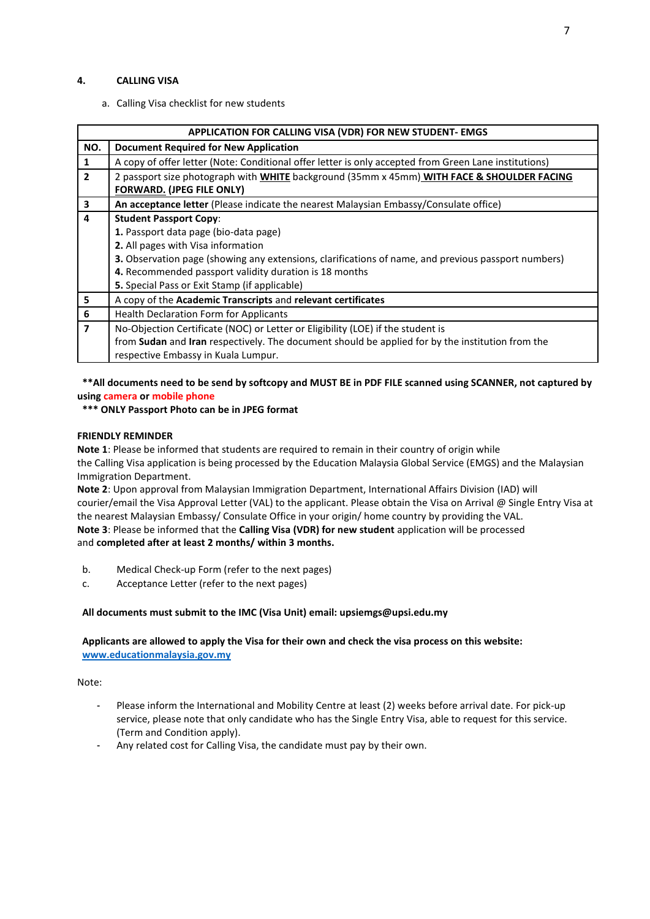### **4. CALLING VISA**

a. Calling Visa checklist for new students

|                         | APPLICATION FOR CALLING VISA (VDR) FOR NEW STUDENT- EMGS                                                   |  |  |  |
|-------------------------|------------------------------------------------------------------------------------------------------------|--|--|--|
| NO.                     | <b>Document Required for New Application</b>                                                               |  |  |  |
| $\mathbf{1}$            | A copy of offer letter (Note: Conditional offer letter is only accepted from Green Lane institutions)      |  |  |  |
| $\overline{2}$          | 2 passport size photograph with WHITE background (35mm x 45mm) WITH FACE & SHOULDER FACING                 |  |  |  |
|                         | <b>FORWARD. (JPEG FILE ONLY)</b>                                                                           |  |  |  |
| $\overline{\mathbf{3}}$ | An acceptance letter (Please indicate the nearest Malaysian Embassy/Consulate office)                      |  |  |  |
| 4                       | <b>Student Passport Copy:</b>                                                                              |  |  |  |
|                         | 1. Passport data page (bio-data page)                                                                      |  |  |  |
|                         | 2. All pages with Visa information                                                                         |  |  |  |
|                         | <b>3.</b> Observation page (showing any extensions, clarifications of name, and previous passport numbers) |  |  |  |
|                         | 4. Recommended passport validity duration is 18 months                                                     |  |  |  |
|                         | 5. Special Pass or Exit Stamp (if applicable)                                                              |  |  |  |
| 5                       | A copy of the Academic Transcripts and relevant certificates                                               |  |  |  |
| 6                       | <b>Health Declaration Form for Applicants</b>                                                              |  |  |  |
| $\overline{7}$          | No-Objection Certificate (NOC) or Letter or Eligibility (LOE) if the student is                            |  |  |  |
|                         | from Sudan and Iran respectively. The document should be applied for by the institution from the           |  |  |  |
|                         | respective Embassy in Kuala Lumpur.                                                                        |  |  |  |

# **\*\*All documents need to be send by softcopy and MUST BE in PDF FILE scanned using SCANNER, not captured by using camera or mobile phone**

### **\*\*\* ONLY Passport Photo can be in JPEG format**

#### **FRIENDLY REMINDER**

**Note 1**: Please be informed that students are required to remain in their country of origin while the Calling Visa application is being processed by the Education Malaysia Global Service (EMGS) and the Malaysian Immigration Department.

**Note 2**: Upon approval from Malaysian Immigration Department, International Affairs Division (IAD) will courier/email the Visa Approval Letter (VAL) to the applicant. Please obtain the Visa on Arrival @ Single Entry Visa at the nearest Malaysian Embassy/ Consulate Office in your origin/ home country by providing the VAL. **Note 3**: Please be informed that the **Calling Visa (VDR) for new student** application will be processed and **completed after at least 2 months/ within 3 months.**

- b. Medical Check-up Form (refer to the next pages)
- c. Acceptance Letter (refer to the next pages)

### **All documents must submit to the IMC (Visa Unit) email: upsiemgs@upsi.edu.my**

### **Applicants are allowed to apply the Visa for their own and check the visa process on this website: [www.educationmalaysia.gov.my](http://www.educationmalaysia.gov.my/)**

#### Note:

- Please inform the International and Mobility Centre at least (2) weeks before arrival date. For pick-up service, please note that only candidate who has the Single Entry Visa, able to request for this service. (Term and Condition apply).
- Any related cost for Calling Visa, the candidate must pay by their own.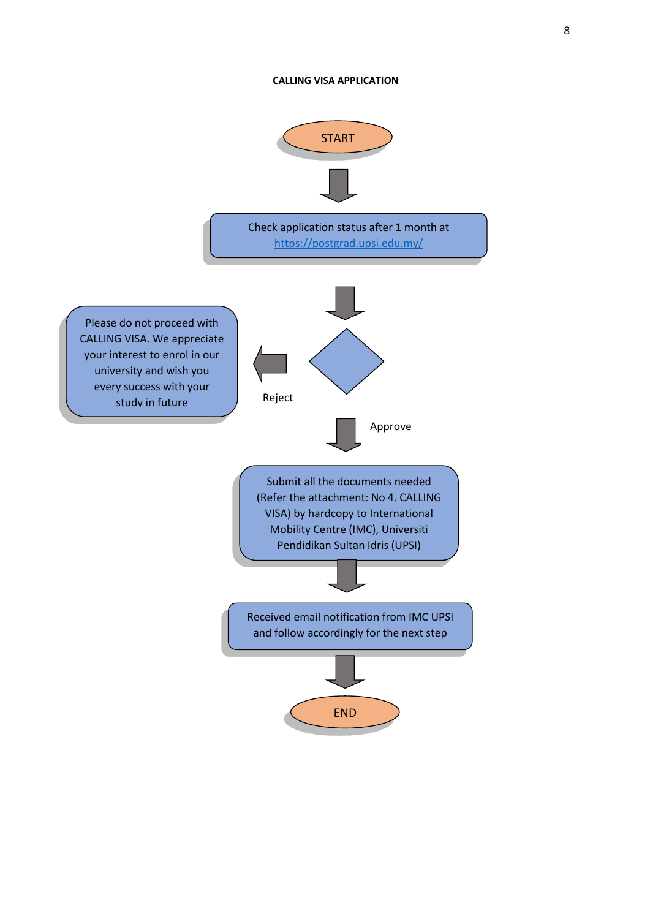### **CALLING VISA APPLICATION**

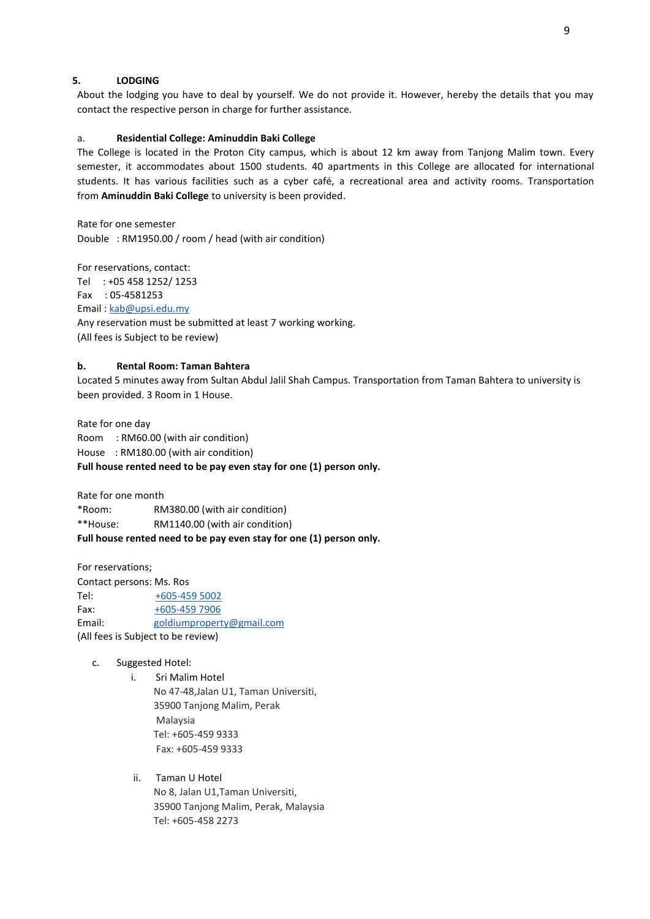# **5. LODGING**

About the lodging you have to deal by yourself. We do not provide it. However, hereby the details that you may contact the respective person in charge for further assistance.

### a. **Residential College: Aminuddin Baki College**

The College is located in the Proton City campus, which is about 12 km away from Tanjong Malim town. Every semester, it accommodates about 1500 students. 40 apartments in this College are allocated for international students. It has various facilities such as a cyber café, a recreational area and activity rooms. Transportation from **Aminuddin Baki College** to university is been provided.

Rate for one semester Double : RM1950.00 / room / head (with air condition)

For reservations, contact: Tel : +05 458 1252/ 1253 Fax : 05-4581253 Email: [kab@upsi.edu.my](mailto:kab@upsi.edu.my) Any reservation must be submitted at least 7 working working. (All fees is Subject to be review)

#### **b. Rental Room: Taman Bahtera**

Located 5 minutes away from Sultan Abdul Jalil Shah Campus. Transportation from Taman Bahtera to university is been provided. 3 Room in 1 House.

Rate for one day Room : RM60.00 (with air condition) House : RM180.00 (with air condition) **Full house rented need to be pay even stay for one (1) person only.**

Rate for one month

\*Room: RM380.00 (with air condition) \*\*House: RM1140.00 (with air condition) **Full house rented need to be pay even stay for one (1) person only.**

For reservations;

Contact persons: Ms. Ros Tel: [+605-459 5002](tel:+60%205-459%205002) Fax: [+605-459 7906](tel:+60%205-459%207906) Email: [goldiumproperty@gmail.com](mailto:goldiumproperty@gmail.com) (All fees is Subject to be review)

- c. Suggested Hotel:
	- i. Sri Malim Hotel No 47-48,Jalan U1, Taman Universiti, 35900 Tanjong Malim, Perak Malaysia Tel: +605-459 9333 Fax: +605-459 9333

# ii. Taman U Hotel No 8, Jalan U1,Taman Universiti, 35900 Tanjong Malim, Perak, Malaysia Tel: +605-458 2273